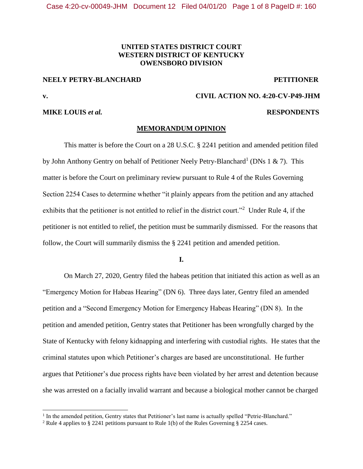## **UNITED STATES DISTRICT COURT WESTERN DISTRICT OF KENTUCKY OWENSBORO DIVISION**

## **NEELY PETRY-BLANCHARD PETITIONER**

 $\overline{\phantom{a}}$ 

## **MIKE LOUIS** *et al.* **RESPONDENTS**

# **v. CIVIL ACTION NO. 4:20-CV-P49-JHM**

### **MEMORANDUM OPINION**

This matter is before the Court on a 28 U.S.C. § 2241 petition and amended petition filed by John Anthony Gentry on behalf of Petitioner Neely Petry-Blanchard<sup>1</sup> (DNs 1 & 7). This matter is before the Court on preliminary review pursuant to Rule 4 of the Rules Governing Section 2254 Cases to determine whether "it plainly appears from the petition and any attached exhibits that the petitioner is not entitled to relief in the district court."<sup>2</sup> Under Rule 4, if the petitioner is not entitled to relief, the petition must be summarily dismissed. For the reasons that follow, the Court will summarily dismiss the § 2241 petition and amended petition.

**I.**

On March 27, 2020, Gentry filed the habeas petition that initiated this action as well as an "Emergency Motion for Habeas Hearing" (DN 6). Three days later, Gentry filed an amended petition and a "Second Emergency Motion for Emergency Habeas Hearing" (DN 8). In the petition and amended petition, Gentry states that Petitioner has been wrongfully charged by the State of Kentucky with felony kidnapping and interfering with custodial rights. He states that the criminal statutes upon which Petitioner's charges are based are unconstitutional. He further argues that Petitioner's due process rights have been violated by her arrest and detention because she was arrested on a facially invalid warrant and because a biological mother cannot be charged

<sup>&</sup>lt;sup>1</sup> In the amended petition, Gentry states that Petitioner's last name is actually spelled "Petrie-Blanchard."

<sup>2</sup> Rule 4 applies to § 2241 petitions pursuant to Rule 1(b) of the Rules Governing § 2254 cases.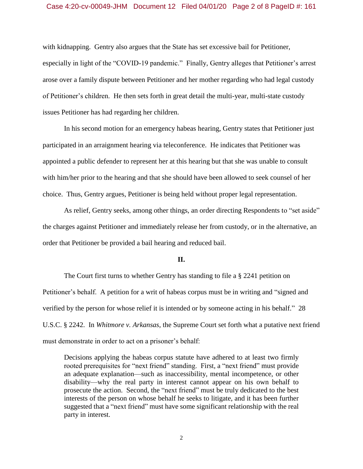## Case 4:20-cv-00049-JHM Document 12 Filed 04/01/20 Page 2 of 8 PageID #: 161

with kidnapping. Gentry also argues that the State has set excessive bail for Petitioner, especially in light of the "COVID-19 pandemic." Finally, Gentry alleges that Petitioner's arrest arose over a family dispute between Petitioner and her mother regarding who had legal custody of Petitioner's children. He then sets forth in great detail the multi-year, multi-state custody issues Petitioner has had regarding her children.

In his second motion for an emergency habeas hearing, Gentry states that Petitioner just participated in an arraignment hearing via teleconference. He indicates that Petitioner was appointed a public defender to represent her at this hearing but that she was unable to consult with him/her prior to the hearing and that she should have been allowed to seek counsel of her choice. Thus, Gentry argues, Petitioner is being held without proper legal representation.

As relief, Gentry seeks, among other things, an order directing Respondents to "set aside" the charges against Petitioner and immediately release her from custody, or in the alternative, an order that Petitioner be provided a bail hearing and reduced bail.

### **II.**

The Court first turns to whether Gentry has standing to file a § 2241 petition on Petitioner's behalf. A petition for a writ of habeas corpus must be in writing and "signed and verified by the person for whose relief it is intended or by someone acting in his behalf." 28 U.S.C. § 2242. In *Whitmore v. Arkansas*, the Supreme Court set forth what a putative next friend must demonstrate in order to act on a prisoner's behalf:

Decisions applying the habeas corpus statute have adhered to at least two firmly rooted prerequisites for "next friend" standing. First, a "next friend" must provide an adequate explanation—such as inaccessibility, mental incompetence, or other disability—why the real party in interest cannot appear on his own behalf to prosecute the action. Second, the "next friend" must be truly dedicated to the best interests of the person on whose behalf he seeks to litigate, and it has been further suggested that a "next friend" must have some significant relationship with the real party in interest.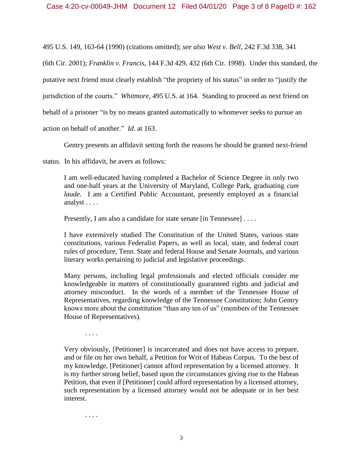495 U.S. 149, 163-64 (1990) (citations omitted); *see also West v. Bell*, 242 F.3d 338, 341

(6th Cir. 2001); *Franklin v. Francis*, 144 F.3d 429, 432 (6th Cir. 1998). Under this standard, the

putative next friend must clearly establish "the propriety of his status" in order to "justify the

jurisdiction of the courts." *Whitmore*, 495 U.S. at 164. Standing to proceed as next friend on

behalf of a prisoner "is by no means granted automatically to whomever seeks to pursue an

action on behalf of another." *Id*. at 163.

Gentry presents an affidavit setting forth the reasons he should be granted next-friend

status. In his affidavit, he avers as follows:

I am well-educated having completed a Bachelor of Science Degree in only two and one-half years at the University of Maryland, College Park, graduating *cum laude*. I am a Certified Public Accountant, presently employed as a financial analyst . . . .

Presently, I am also a candidate for state senate [in Tennessee] . . . .

I have extensively studied The Constitution of the United States, various state constitutions, various Federalist Papers, as well as local, state, and federal court rules of procedure, Tenn. State and federal House and Senate Journals, and various literary works pertaining to judicial and legislative proceedings.

Many persons, including legal professionals and elected officials consider me knowledgeable in matters of constitutionally guaranteed rights and judicial and attorney misconduct. In the words of a member of the Tennessee House of Representatives, regarding knowledge of the Tennessee Constitution; John Gentry knows more about the constitution "than any ten of us" (members of the Tennessee House of Representatives).

. . . .

Very obviously, [Petitioner] is incarcerated and does not have access to prepare, and or file on her own behalf, a Petition for Writ of Habeas Corpus. To the best of my knowledge, [Petitioner] cannot afford representation by a licensed attorney. It is my further strong belief, based upon the circumstances giving rise to the Habeas Petition, that even if [Petitioner] could afford representation by a licensed attorney, such representation by a licensed attorney would not be adequate or in her best interest.

. . . .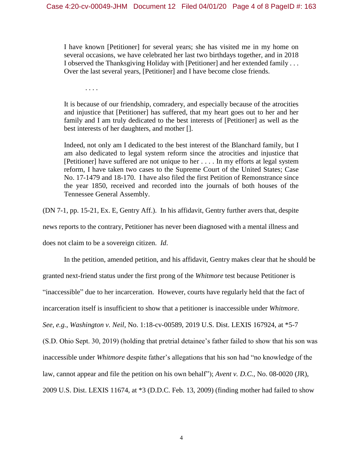I have known [Petitioner] for several years; she has visited me in my home on several occasions, we have celebrated her last two birthdays together, and in 2018 I observed the Thanksgiving Holiday with [Petitioner] and her extended family . . . Over the last several years, [Petitioner] and I have become close friends.

. . . .

It is because of our friendship, comradery, and especially because of the atrocities and injustice that [Petitioner] has suffered, that my heart goes out to her and her family and I am truly dedicated to the best interests of [Petitioner] as well as the best interests of her daughters, and mother [].

Indeed, not only am I dedicated to the best interest of the Blanchard family, but I am also dedicated to legal system reform since the atrocities and injustice that [Petitioner] have suffered are not unique to her . . . . In my efforts at legal system reform, I have taken two cases to the Supreme Court of the United States; Case No. 17-1479 and 18-170. I have also filed the first Petition of Remonstrance since the year 1850, received and recorded into the journals of both houses of the Tennessee General Assembly.

(DN 7-1, pp. 15-21, Ex. E, Gentry Aff.). In his affidavit, Gentry further avers that, despite

news reports to the contrary, Petitioner has never been diagnosed with a mental illness and

does not claim to be a sovereign citizen. *Id*.

In the petition, amended petition, and his affidavit, Gentry makes clear that he should be

granted next-friend status under the first prong of the *Whitmore* test because Petitioner is

"inaccessible" due to her incarceration. However, courts have regularly held that the fact of

incarceration itself is insufficient to show that a petitioner is inaccessible under *Whitmore*.

*See, e.g.*, *Washington v. Neil*, No. 1:18-cv-00589, 2019 U.S. Dist. LEXIS 167924, at \*5-7

(S.D. Ohio Sept. 30, 2019) (holding that pretrial detainee's father failed to show that his son was

inaccessible under *Whitmore* despite father's allegations that his son had "no knowledge of the

law, cannot appear and file the petition on his own behalf"); *Avent v. D.C.*, No. 08-0020 (JR),

2009 U.S. Dist. LEXIS 11674, at \*3 (D.D.C. Feb. 13, 2009) (finding mother had failed to show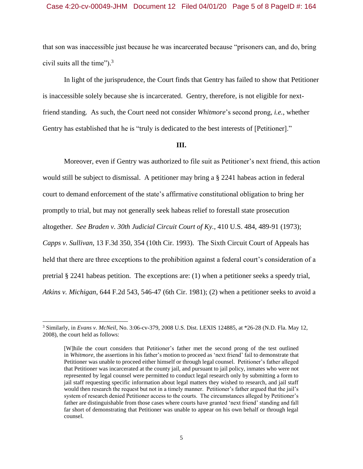## Case 4:20-cv-00049-JHM Document 12 Filed 04/01/20 Page 5 of 8 PageID #: 164

that son was inaccessible just because he was incarcerated because "prisoners can, and do, bring civil suits all the time"). 3

In light of the jurisprudence, the Court finds that Gentry has failed to show that Petitioner is inaccessible solely because she is incarcerated. Gentry, therefore, is not eligible for nextfriend standing. As such, the Court need not consider *Whitmore*'s second prong, *i.e.*, whether Gentry has established that he is "truly is dedicated to the best interests of [Petitioner]."

#### **III.**

Moreover, even if Gentry was authorized to file suit as Petitioner's next friend, this action would still be subject to dismissal. A petitioner may bring a § 2241 habeas action in federal court to demand enforcement of the state's affirmative constitutional obligation to bring her promptly to trial, but may not generally seek habeas relief to forestall state prosecution altogether. *See Braden v. 30th Judicial Circuit Court of Ky.*, 410 U.S. 484, 489-91 (1973); *Capps v. Sullivan*, 13 F.3d 350, 354 (10th Cir. 1993). The Sixth Circuit Court of Appeals has held that there are three exceptions to the prohibition against a federal court's consideration of a pretrial § 2241 habeas petition. The exceptions are: (1) when a petitioner seeks a speedy trial, *Atkins v. Michigan*, 644 F.2d 543, 546-47 (6th Cir. 1981); (2) when a petitioner seeks to avoid a

l

<sup>3</sup> Similarly, in *Evans v. McNeil*, No. 3:06-cv-379, 2008 U.S. Dist. LEXIS 124885, at \*26-28 (N.D. Fla. May 12, 2008), the court held as follows:

<sup>[</sup>W]hile the court considers that Petitioner's father met the second prong of the test outlined in *Whitmore*, the assertions in his father's motion to proceed as 'next friend' fail to demonstrate that Petitioner was unable to proceed either himself or through legal counsel. Petitioner's father alleged that Petitioner was incarcerated at the county jail, and pursuant to jail policy, inmates who were not represented by legal counsel were permitted to conduct legal research only by submitting a form to jail staff requesting specific information about legal matters they wished to research, and jail staff would then research the request but not in a timely manner. Petitioner's father argued that the jail's system of research denied Petitioner access to the courts. The circumstances alleged by Petitioner's father are distinguishable from those cases where courts have granted 'next friend' standing and fall far short of demonstrating that Petitioner was unable to appear on his own behalf or through legal counsel.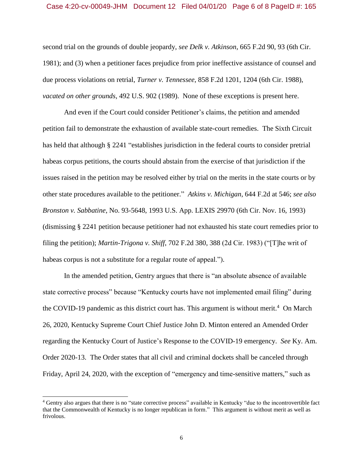### Case 4:20-cv-00049-JHM Document 12 Filed 04/01/20 Page 6 of 8 PageID #: 165

second trial on the grounds of double jeopardy, *see Delk v. Atkinson*, 665 F.2d 90, 93 (6th Cir. 1981); and (3) when a petitioner faces prejudice from prior ineffective assistance of counsel and due process violations on retrial, *Turner v. Tennessee*, 858 F.2d 1201, 1204 (6th Cir. 1988), *vacated on other grounds*, 492 U.S. 902 (1989). None of these exceptions is present here.

And even if the Court could consider Petitioner's claims, the petition and amended petition fail to demonstrate the exhaustion of available state-court remedies. The Sixth Circuit has held that although § 2241 "establishes jurisdiction in the federal courts to consider pretrial habeas corpus petitions, the courts should abstain from the exercise of that jurisdiction if the issues raised in the petition may be resolved either by trial on the merits in the state courts or by other state procedures available to the petitioner." *Atkins v. Michigan*, 644 F.2d at 546; *see also Bronston v. Sabbatine*, No. 93-5648, 1993 U.S. App. LEXIS 29970 (6th Cir. Nov. 16, 1993) (dismissing § 2241 petition because petitioner had not exhausted his state court remedies prior to filing the petition); *Martin-Trigona v. Shiff*, 702 F.2d 380, 388 (2d Cir. 1983) ("[T]he writ of habeas corpus is not a substitute for a regular route of appeal.").

In the amended petition, Gentry argues that there is "an absolute absence of available state corrective process" because "Kentucky courts have not implemented email filing" during the COVID-19 pandemic as this district court has. This argument is without merit.<sup>4</sup> On March 26, 2020, Kentucky Supreme Court Chief Justice John D. Minton entered an Amended Order regarding the Kentucky Court of Justice's Response to the COVID-19 emergency. *See* Ky. Am. Order 2020-13. The Order states that all civil and criminal dockets shall be canceled through Friday, April 24, 2020, with the exception of "emergency and time-sensitive matters," such as

 $\overline{\phantom{a}}$ 

<sup>4</sup> Gentry also argues that there is no "state corrective process" available in Kentucky "due to the incontrovertible fact that the Commonwealth of Kentucky is no longer republican in form." This argument is without merit as well as frivolous.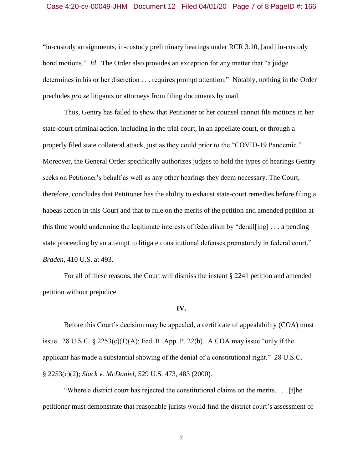# Case 4:20-cv-00049-JHM Document 12 Filed 04/01/20 Page 7 of 8 PageID #: 166

"in-custody arraignments, in-custody preliminary hearings under RCR 3.10, [and] in-custody bond motions." *Id*. The Order also provides an exception for any matter that "a judge determines in his or her discretion . . . requires prompt attention." Notably, nothing in the Order precludes *pro se* litigants or attorneys from filing documents by mail.

Thus, Gentry has failed to show that Petitioner or her counsel cannot file motions in her state-court criminal action, including in the trial court, in an appellate court, or through a properly filed state collateral attack, just as they could prior to the "COVID-19 Pandemic." Moreover, the General Order specifically authorizes judges to hold the types of hearings Gentry seeks on Petitioner's behalf as well as any other hearings they deem necessary. The Court, therefore, concludes that Petitioner has the ability to exhaust state-court remedies before filing a habeas action in this Court and that to rule on the merits of the petition and amended petition at this time would undermine the legitimate interests of federalism by "derail[ing] . . . a pending state proceeding by an attempt to litigate constitutional defenses prematurely in federal court." *Braden*, 410 U.S. at 493.

For all of these reasons, the Court will dismiss the instant § 2241 petition and amended petition without prejudice.

#### **IV.**

Before this Court's decision may be appealed, a certificate of appealability (COA) must issue. 28 U.S.C.  $\S$  2253(c)(1)(A); Fed. R. App. P. 22(b). A COA may issue "only if the applicant has made a substantial showing of the denial of a constitutional right." 28 U.S.C. § 2253(c)(2); *Slack v. McDaniel*, 529 U.S. 473, 483 (2000).

"Where a district court has rejected the constitutional claims on the merits, . . . [t]he petitioner must demonstrate that reasonable jurists would find the district court's assessment of

7